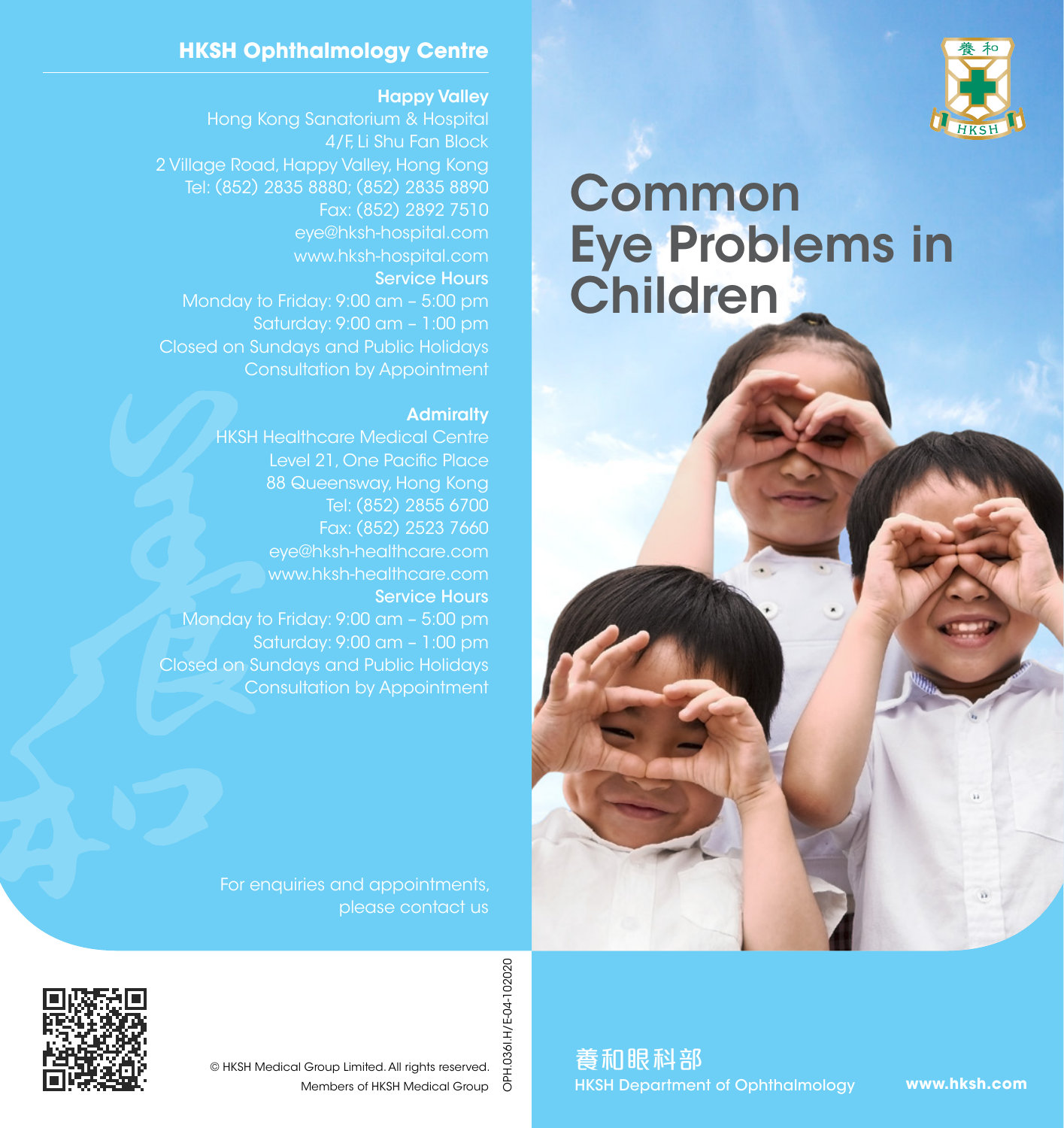

# Common Eye Problems in Children

#### **HKSH Ophthalmology Centre**

Happy Valley

Hong Kong Sanatorium & Hospital 4/F, Li Shu Fan Block 2 Village Road, Happy Valley, Hong Kong Tel: (852) 2835 8880; (852) 2835 8890 Fax: (852) 2892 7510 eye@hksh-hospital.com www.hksh-hospital.com Service Hours Monday to Friday: 9:00 am – 5:00 pm Saturday: 9:00 am – 1:00 pm Closed on Sundays and Public Holidays Consultation by Appointment

#### **Admiralty**

HKSH Healthcare Medical Centre Level 21, One Pacific Place 88 Queensway, Hong Kong Tel: (852) 2855 6700 Fax: (852) 2523 7660 eye@hksh-healthcare.com www.hksh-healthcare.com Service Hours Monday to Friday: 9:00 am – 5:00 pm Saturday: 9:00 am – 1:00 pm Closed on Sundays and Public Holidays Consultation by Appointment

> For enquiries and appointments, please contact us



OPH.036I.H/E-04-102020 OPH.036I.H/E-04-102020 © HKSH Medical Group Limited. All rights reserved. Members of HKSH Medical Group

養和眼科部 HKSH Department of Ophthalmology

**www.hksh.com**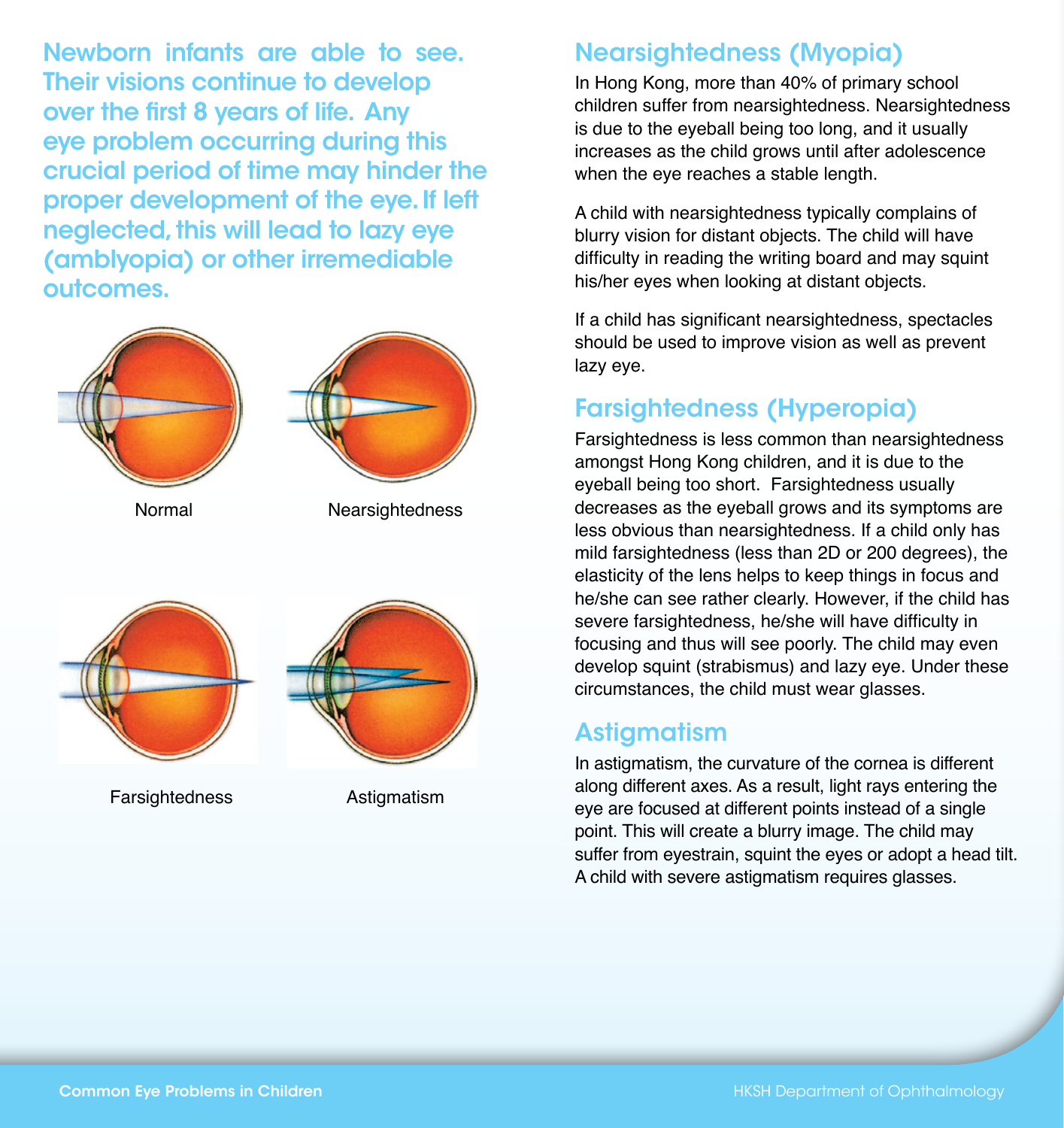Newborn infants are able to see. Their visions continue to develop over the first 8 years of life. Any eye problem occurring during this crucial period of time may hinder the proper development of the eye. If left neglected, this will lead to lazy eye (amblyopia) or other irremediable outcomes.



Normal







**Farsightedness** 

**Astigmatism** 

## Nearsightedness (Myopia)

In Hong Kong, more than 40% of primary school children suffer from nearsightedness. Nearsightedness is due to the eyeball being too long, and it usually increases as the child grows until after adolescence when the eye reaches a stable length.

A child with nearsightedness typically complains of blurry vision for distant objects. The child will have difficulty in reading the writing board and may squint his/her eyes when looking at distant objects.

If a child has significant nearsightedness, spectacles should be used to improve vision as well as prevent lazy eye.

# Farsightedness (Hyperopia)

Farsightedness is less common than nearsightedness amongst Hong Kong children, and it is due to the eyeball being too short. Farsightedness usually decreases as the eyeball grows and its symptoms are less obvious than nearsightedness. If a child only has mild farsightedness (less than 2D or 200 degrees), the elasticity of the lens helps to keep things in focus and he/she can see rather clearly. However, if the child has severe farsightedness, he/she will have difficulty in focusing and thus will see poorly. The child may even develop squint (strabismus) and lazy eye. Under these circumstances, the child must wear glasses.

### **Astigmatism**

In astigmatism, the curvature of the cornea is different along different axes. As a result, light rays entering the eye are focused at different points instead of a single point. This will create a blurry image. The child may suffer from eyestrain, squint the eyes or adopt a head tilt. A child with severe astigmatism requires glasses.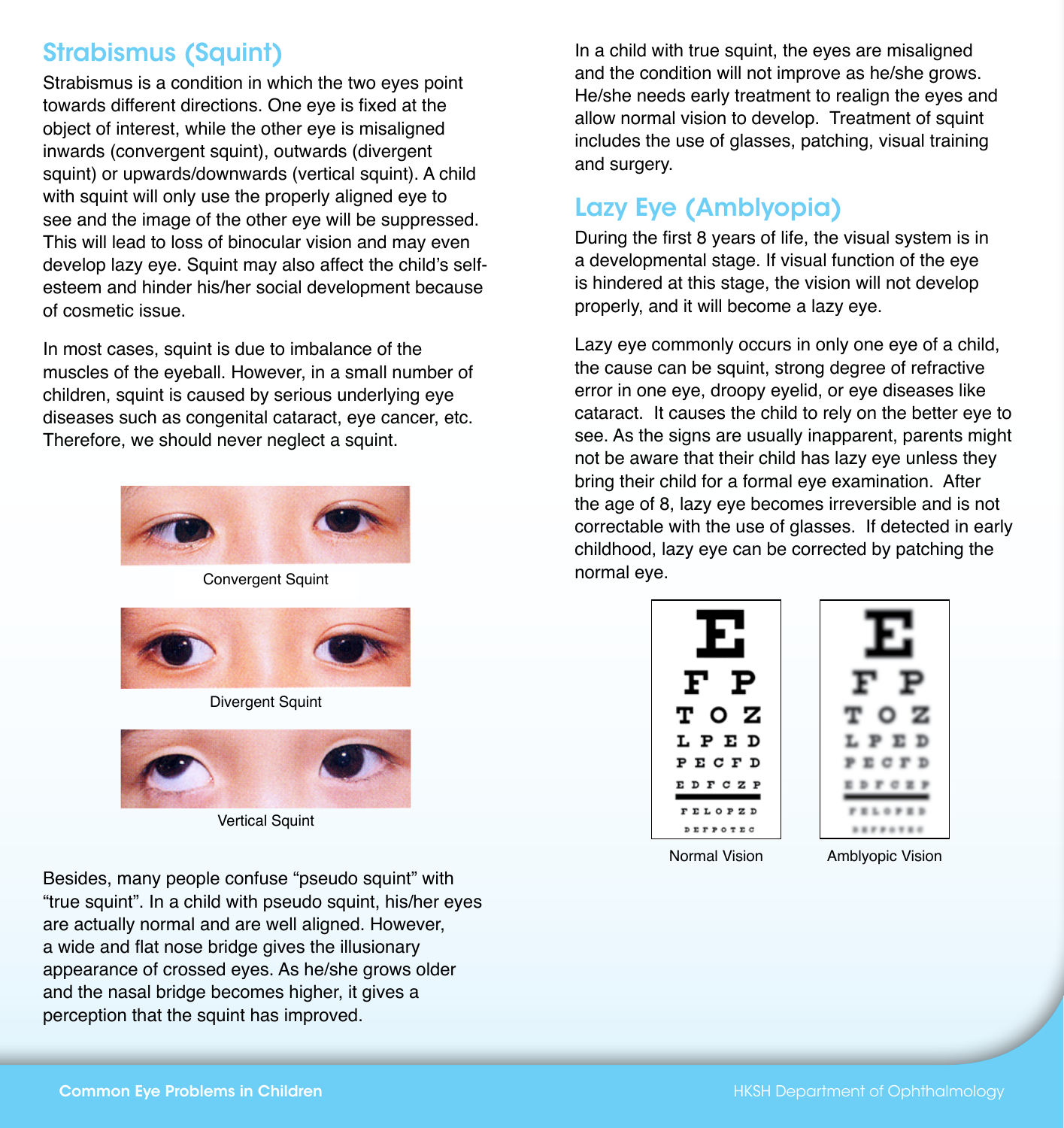# Strabismus (Squint)

Strabismus is a condition in which the two eyes point towards different directions. One eye is fixed at the object of interest, while the other eye is misaligned inwards (convergent squint), outwards (divergent squint) or upwards/downwards (vertical squint). A child with squint will only use the properly aligned eye to see and the image of the other eye will be suppressed. This will lead to loss of binocular vision and may even develop lazy eye. Squint may also affect the child's selfesteem and hinder his/her social development because of cosmetic issue.

In most cases, squint is due to imbalance of the muscles of the eyeball. However, in a small number of children, squint is caused by serious underlying eye diseases such as congenital cataract, eye cancer, etc. Therefore, we should never neglect a squint.



Convergent Squint



Divergent Squint



**Vertical Squint** 

Besides, many people confuse "pseudo squint" with "true squint". In a child with pseudo squint, his/her eyes are actually normal and are well aligned. However, a wide and flat nose bridge gives the illusionary appearance of crossed eyes. As he/she grows older and the nasal bridge becomes higher, it gives a perception that the squint has improved.

In a child with true squint, the eyes are misaligned and the condition will not improve as he/she grows. He/she needs early treatment to realign the eyes and allow normal vision to develop. Treatment of squint includes the use of glasses, patching, visual training and surgery.

# Lazy Eye (Amblyopia)

During the first 8 years of life, the visual system is in a developmental stage. If visual function of the eye is hindered at this stage, the vision will not develop properly, and it will become a lazy eye.

Lazy eye commonly occurs in only one eye of a child, the cause can be squint, strong degree of refractive error in one eye, droopy eyelid, or eye diseases like cataract. It causes the child to rely on the better eye to see. As the signs are usually inapparent, parents might not be aware that their child has lazy eye unless they bring their child for a formal eye examination. After the age of 8, lazy eye becomes irreversible and is not correctable with the use of glasses. If detected in early childhood, lazy eye can be corrected by patching the normal eye.



Normal Vision Amblyopic Vision